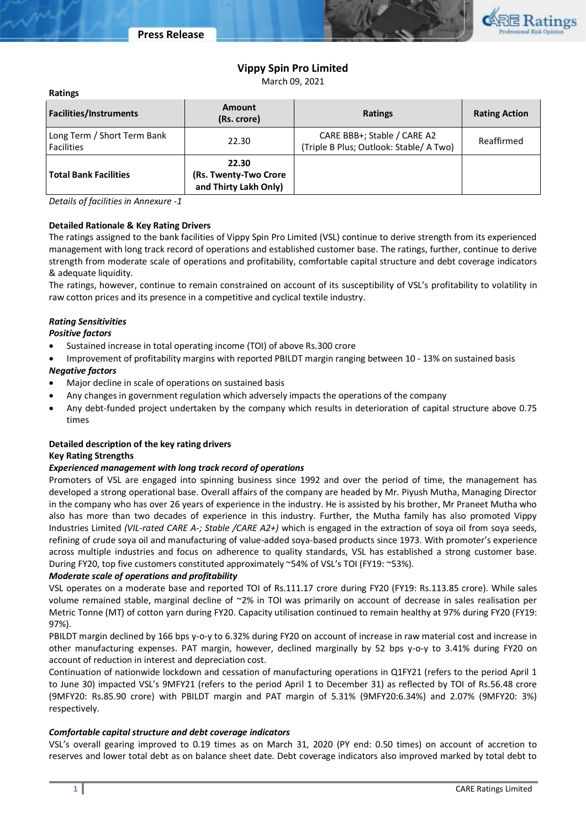

## **Vippy Spin Pro Limited**

March 09, 2021

| naungs                                    |                                                         |                                                                        |                      |
|-------------------------------------------|---------------------------------------------------------|------------------------------------------------------------------------|----------------------|
| <b>Facilities/Instruments</b>             | <b>Amount</b><br>(Rs. crore)                            | <b>Ratings</b>                                                         | <b>Rating Action</b> |
| Long Term / Short Term Bank<br>Facilities | 22.30                                                   | CARE BBB+; Stable / CARE A2<br>(Triple B Plus; Outlook: Stable/ A Two) | Reaffirmed           |
| <b>Total Bank Facilities</b>              | 22.30<br>(Rs. Twenty-Two Crore<br>and Thirty Lakh Only) |                                                                        |                      |

*Details of facilities in Annexure -1*

### **Detailed Rationale & Key Rating Drivers**

The ratings assigned to the bank facilities of Vippy Spin Pro Limited (VSL) continue to derive strength from its experienced management with long track record of operations and established customer base. The ratings, further, continue to derive strength from moderate scale of operations and profitability, comfortable capital structure and debt coverage indicators & adequate liquidity.

The ratings, however, continue to remain constrained on account of its susceptibility of VSL's profitability to volatility in raw cotton prices and its presence in a competitive and cyclical textile industry.

### *Rating Sensitivities*

*Positive factors*

**Ratings**

- Sustained increase in total operating income (TOI) of above Rs.300 crore
- Improvement of profitability margins with reported PBILDT margin ranging between 10 13% on sustained basis

## *Negative factors*

- Major decline in scale of operations on sustained basis
- Any changes in government regulation which adversely impacts the operations of the company
- Any debt-funded project undertaken by the company which results in deterioration of capital structure above 0.75 times

### **Detailed description of the key rating drivers**

### **Key Rating Strengths**

### *Experienced management with long track record of operations*

Promoters of VSL are engaged into spinning business since 1992 and over the period of time, the management has developed a strong operational base. Overall affairs of the company are headed by Mr. Piyush Mutha, Managing Director in the company who has over 26 years of experience in the industry. He is assisted by his brother, Mr Praneet Mutha who also has more than two decades of experience in this industry. Further, the Mutha family has also promoted Vippy Industries Limited *(VIL-rated CARE A-; Stable /CARE A2+)* which is engaged in the extraction of soya oil from soya seeds, refining of crude soya oil and manufacturing of value-added soya-based products since 1973. With promoter's experience across multiple industries and focus on adherence to quality standards, VSL has established a strong customer base. During FY20, top five customers constituted approximately ~54% of VSL's TOI (FY19: ~53%).

## *Moderate scale of operations and profitability*

VSL operates on a moderate base and reported TOI of Rs.111.17 crore during FY20 (FY19: Rs.113.85 crore). While sales volume remained stable, marginal decline of ~2% in TOI was primarily on account of decrease in sales realisation per Metric Tonne (MT) of cotton yarn during FY20. Capacity utilisation continued to remain healthy at 97% during FY20 (FY19: 97%).

PBILDT margin declined by 166 bps y-o-y to 6.32% during FY20 on account of increase in raw material cost and increase in other manufacturing expenses. PAT margin, however, declined marginally by 52 bps y-o-y to 3.41% during FY20 on account of reduction in interest and depreciation cost.

Continuation of nationwide lockdown and cessation of manufacturing operations in Q1FY21 (refers to the period April 1 to June 30) impacted VSL's 9MFY21 (refers to the period April 1 to December 31) as reflected by TOI of Rs.56.48 crore (9MFY20: Rs.85.90 crore) with PBILDT margin and PAT margin of 5.31% (9MFY20:6.34%) and 2.07% (9MFY20: 3%) respectively.

### *Comfortable capital structure and debt coverage indicators*

VSL's overall gearing improved to 0.19 times as on March 31, 2020 (PY end: 0.50 times) on account of accretion to reserves and lower total debt as on balance sheet date. Debt coverage indicators also improved marked by total debt to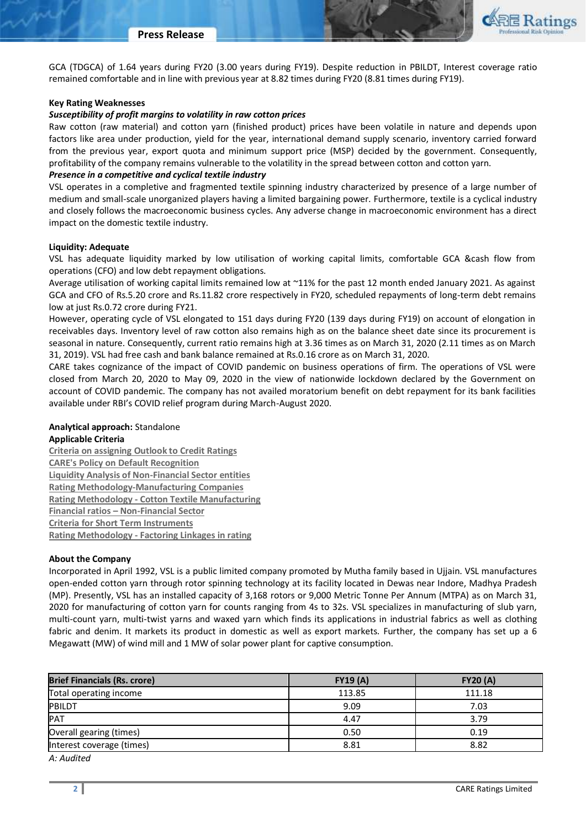

GCA (TDGCA) of 1.64 years during FY20 (3.00 years during FY19). Despite reduction in PBILDT, Interest coverage ratio remained comfortable and in line with previous year at 8.82 times during FY20 (8.81 times during FY19).

### **Key Rating Weaknesses**

## *Susceptibility of profit margins to volatility in raw cotton prices*

Raw cotton (raw material) and cotton yarn (finished product) prices have been volatile in nature and depends upon factors like area under production, yield for the year, international demand supply scenario, inventory carried forward from the previous year, export quota and minimum support price (MSP) decided by the government. Consequently, profitability of the company remains vulnerable to the volatility in the spread between cotton and cotton yarn.

## *Presence in a competitive and cyclical textile industry*

VSL operates in a completive and fragmented textile spinning industry characterized by presence of a large number of medium and small-scale unorganized players having a limited bargaining power. Furthermore, textile is a cyclical industry and closely follows the macroeconomic business cycles. Any adverse change in macroeconomic environment has a direct impact on the domestic textile industry.

## **Liquidity: Adequate**

VSL has adequate liquidity marked by low utilisation of working capital limits, comfortable GCA &cash flow from operations (CFO) and low debt repayment obligations.

Average utilisation of working capital limits remained low at ~11% for the past 12 month ended January 2021. As against GCA and CFO of Rs.5.20 crore and Rs.11.82 crore respectively in FY20, scheduled repayments of long-term debt remains low at just Rs.0.72 crore during FY21.

However, operating cycle of VSL elongated to 151 days during FY20 (139 days during FY19) on account of elongation in receivables days. Inventory level of raw cotton also remains high as on the balance sheet date since its procurement is seasonal in nature. Consequently, current ratio remains high at 3.36 times as on March 31, 2020 (2.11 times as on March 31, 2019). VSL had free cash and bank balance remained at Rs.0.16 crore as on March 31, 2020.

CARE takes cognizance of the impact of COVID pandemic on business operations of firm. The operations of VSL were closed from March 20, 2020 to May 09, 2020 in the view of nationwide lockdown declared by the Government on account of COVID pandemic. The company has not availed moratorium benefit on debt repayment for its bank facilities available under RBI's COVID relief program during March-August 2020.

# **Analytical approach:** Standalone

## **Applicable Criteria**

**[Criteria on assigning Outlook to Credit Ratings](https://www.careratings.com/pdf/resources/Rating%20Outlook%20and%20credit%20watch%20_30May%202020.pdf) [CARE's Policy on Default Recognition](https://www.careratings.com/pdf/resources/CARE) [Liquidity Analysis of Non-Financial Sector entities](https://www.careratings.com/pdf/resources/Liquidity%20Analysis%20of%20Non-Financial%20Sector%20entities_May2020.pdf) [Rating Methodology-Manufacturing Companies](https://www.careratings.com/upload/NewsFiles/GetRated/Rating%20Methodology%20-%20Manufacturing%20Companies-12Dec20.pdf) Rating Methodology - [Cotton Textile Manufacturing](https://www.careratings.com/upload/NewsFiles/GetRated/Cotton_Methodology_24Nov20.pdf) Financial ratios – [Non-Financial Sector](https://www.careratings.com/pdf/resources/Financial%20ratios%20-%20Non%20Financial%20Sector-Mar%2021.pdf) [Criteria for Short Term Instruments](https://ind01.safelinks.protection.outlook.com/?url=https%3A%2F%2Fwww.careratings.com%2Fupload%2FNewsFiles%2FGetRated%2FShort%2520Term%2520Instruments%2520_Feb2021.pdf&data=04%7C01%7Cmilind.ambani%40careratings.com%7Cf467333e113740b5b0c808d8d7c56ccd%7C5fb92d802f9b45eb857f45b58dcb54ba%7C1%7C1%7C637496590216136744%7CUnknown%7CTWFpbGZsb3d8eyJWIjoiMC4wLjAwMDAiLCJQIjoiV2luMzIiLCJBTiI6Ik1haWwiLCJXVCI6Mn0%3D%7C0&sdata=gF36%2B1vInAj9IohVL%2BPkhTwFtWJctNpTWEf6D9fIJ5o%3D&reserved=0) Rating Methodology - [Factoring Linkages in rating](https://www.careratings.com/upload/NewsFiles/GetRated/Rating%20Methodology%20-%20Parent%20Sub%20JV%20Group-Oct%2020.pdf)**

### **About the Company**

Incorporated in April 1992, VSL is a public limited company promoted by Mutha family based in Ujjain. VSL manufactures open-ended cotton yarn through rotor spinning technology at its facility located in Dewas near Indore, Madhya Pradesh (MP). Presently, VSL has an installed capacity of 3,168 rotors or 9,000 Metric Tonne Per Annum (MTPA) as on March 31, 2020 for manufacturing of cotton yarn for counts ranging from 4s to 32s. VSL specializes in manufacturing of slub yarn, multi-count yarn, multi-twist yarns and waxed yarn which finds its applications in industrial fabrics as well as clothing fabric and denim. It markets its product in domestic as well as export markets. Further, the company has set up a 6 Megawatt (MW) of wind mill and 1 MW of solar power plant for captive consumption.

| <b>Brief Financials (Rs. crore)</b> | FY19(A) | <b>FY20 (A)</b> |  |
|-------------------------------------|---------|-----------------|--|
| Total operating income              | 113.85  | 111.18          |  |
| <b>PBILDT</b>                       | 9.09    | 7.03            |  |
| PAT                                 | 4.47    | 3.79            |  |
| Overall gearing (times)             | 0.50    | 0.19            |  |
| Interest coverage (times)           | 8.81    | 8.82            |  |
| $A \cdot A \cdot A$                 |         |                 |  |

*A: Audited*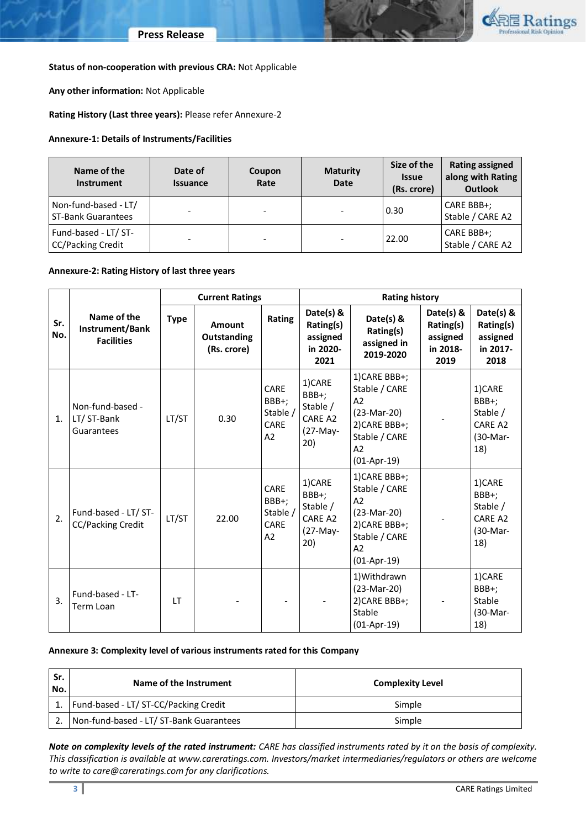

### **Status of non-cooperation with previous CRA:** Not Applicable

**Any other information:** Not Applicable

**Rating History (Last three years):** Please refer Annexure-2

### **Annexure-1: Details of Instruments/Facilities**

| Name of the<br><b>Instrument</b>                  | Date of<br><b>Issuance</b> | Coupon<br>Rate | <b>Maturity</b><br><b>Date</b> | Size of the<br><b>Issue</b><br>(Rs. crore) | <b>Rating assigned</b><br>along with Rating<br><b>Outlook</b> |
|---------------------------------------------------|----------------------------|----------------|--------------------------------|--------------------------------------------|---------------------------------------------------------------|
| Non-fund-based - LT/<br><b>ST-Bank Guarantees</b> |                            | -              | $\overline{\phantom{a}}$       | 0.30                                       | CARE BBB+;<br>Stable / CARE A2                                |
| Fund-based - LT/ ST-<br><b>CC/Packing Credit</b>  | -                          |                | $\overline{\phantom{a}}$       | 22.00                                      | CARE BBB+;<br>Stable / CARE A2                                |

### **Annexure-2: Rating History of last three years**

|            |                                                     | <b>Current Ratings</b> |                                             | <b>Rating history</b>                   |                                                           |                                                                                                                          |                                                        |                                                           |
|------------|-----------------------------------------------------|------------------------|---------------------------------------------|-----------------------------------------|-----------------------------------------------------------|--------------------------------------------------------------------------------------------------------------------------|--------------------------------------------------------|-----------------------------------------------------------|
| Sr.<br>No. | Name of the<br>Instrument/Bank<br><b>Facilities</b> | <b>Type</b>            | <b>Amount</b><br>Outstanding<br>(Rs. crore) | Rating                                  | Date(s) &<br>Rating(s)<br>assigned<br>in 2020-<br>2021    | Date(s) &<br>Rating(s)<br>assigned in<br>2019-2020                                                                       | Date(s) &<br>Rating(s)<br>assigned<br>in 2018-<br>2019 | Date(s) &<br>Rating(s)<br>assigned<br>in 2017-<br>2018    |
| 1.         | Non-fund-based -<br>LT/ ST-Bank<br>Guarantees       | LT/ST                  | 0.30                                        | CARE<br>BBB+;<br>Stable /<br>CARE<br>A2 | 1)CARE<br>BBB+;<br>Stable /<br>CARE A2<br>(27-May-<br>20) | 1) CARE BBB+;<br>Stable / CARE<br>A2<br>(23-Mar-20)<br>2) CARE BBB+;<br>Stable / CARE<br>A2<br>$(01-Apr-19)$             |                                                        | 1)CARE<br>BBB+;<br>Stable /<br>CARE A2<br>(30-Mar-<br>18) |
| 2.         | Fund-based - LT/ ST-<br><b>CC/Packing Credit</b>    | LT/ST                  | 22.00                                       | CARE<br>BBB+;<br>Stable /<br>CARE<br>A2 | 1)CARE<br>BBB+;<br>Stable /<br>CARE A2<br>(27-May-<br>20) | 1) CARE BBB+;<br>Stable / CARE<br>A <sub>2</sub><br>(23-Mar-20)<br>2) CARE BBB+;<br>Stable / CARE<br>A2<br>$(01-Apr-19)$ |                                                        | 1)CARE<br>BBB+;<br>Stable /<br>CARE A2<br>(30-Mar-<br>18) |
| 3.         | Fund-based - LT-<br>Term Loan                       | LT                     |                                             |                                         |                                                           | 1) Withdrawn<br>$(23-Mar-20)$<br>2) CARE BBB+;<br>Stable<br>$(01-Apr-19)$                                                |                                                        | 1)CARE<br>BBB+;<br>Stable<br>(30-Mar-<br>18)              |

### **Annexure 3: Complexity level of various instruments rated for this Company**

| Sr.<br>No. | Name of the Instrument                  | <b>Complexity Level</b> |  |
|------------|-----------------------------------------|-------------------------|--|
|            | Fund-based - LT/ ST-CC/Packing Credit   | Simple                  |  |
|            | Non-fund-based - LT/ ST-Bank Guarantees | Simple                  |  |

*Note on complexity levels of the rated instrument: CARE has classified instruments rated by it on the basis of complexity. This classification is available at www.careratings.com. Investors/market intermediaries/regulators or others are welcome to write to care@careratings.com for any clarifications.*